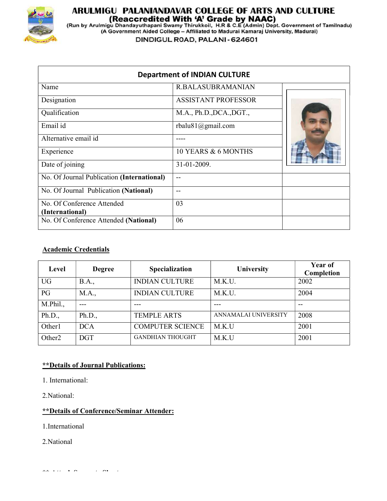

# **ARULMIGU PALANIANDAVAR COLLEGE OF ARTS AND CULTURE<br>(Reaccredited With 'A' Grade by NAAC)<br>(Run by Arulmigu Dhandayuthapani Swamy Thirukkoil, H.R & C.E (Admin) Dept. Government of Tamilnadu)<br>(A Government Aided College – Af**

DINDIGUL ROAD, PALANI - 624601

|                                            | <b>Department of INDIAN CULTURE</b> |  |
|--------------------------------------------|-------------------------------------|--|
| Name                                       | <b>R.BALASUBRAMANIAN</b>            |  |
| Designation                                | <b>ASSISTANT PROFESSOR</b>          |  |
| Qualification                              | M.A., Ph.D., DCA., DGT.,            |  |
| Email id                                   | rbalu81@gmail.com                   |  |
| Alternative email id                       | ----                                |  |
| Experience                                 | 10 YEARS & 6 MONTHS                 |  |
| Date of joining                            | 31-01-2009.                         |  |
| No. Of Journal Publication (International) | $- -$                               |  |
| No. Of Journal Publication (National)      | --                                  |  |
| No. Of Conference Attended                 | 03                                  |  |
| (International)                            |                                     |  |
| No. Of Conference Attended (National)      | 06                                  |  |

#### Academic Credentials

| Level              | <b>Degree</b> | <b>Specialization</b>   | University           | Year of<br>Completion |
|--------------------|---------------|-------------------------|----------------------|-----------------------|
| <b>UG</b>          | <b>B.A.,</b>  | <b>INDIAN CULTURE</b>   | M.K.U.               | 2002                  |
| PG                 | M.A.,         | <b>INDIAN CULTURE</b>   | M.K.U.               | 2004                  |
| M.Phil.,           | $- - -$       | ---                     | ---                  | $- -$                 |
| Ph.D.,             | Ph.D.,        | <b>TEMPLE ARTS</b>      | ANNAMALAI UNIVERSITY | 2008                  |
| Other1             | <b>DCA</b>    | <b>COMPUTER SCIENCE</b> | M.K.U                | 2001                  |
| Other <sub>2</sub> | <b>DGT</b>    | <b>GANDHIAN THOUGHT</b> | M.K.U                | 2001                  |

#### \*\*Details of Journal Publications:

1. International:

2.National:

#### \*\*Details of Conference/Seminar Attender:

1.International

2.National